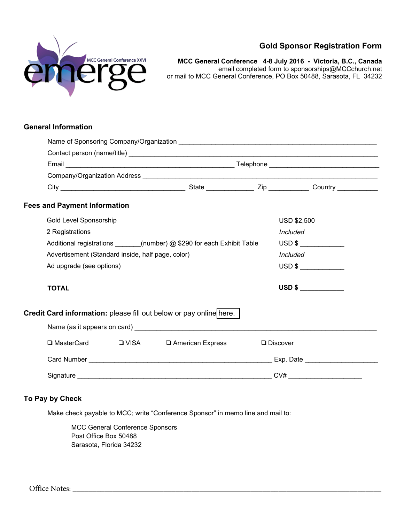

# **Gold Sponsor Registration Form**

**MCC General Conference 4-8 July 2016 - Victoria, B.C., Canada**  email completed form to sponsorships@MCCchurch.net or mail to MCC General Conference, PO Box 50488, Sarasota, FL 34232

## **General Information**

|  | <b>Fees and Payment Information</b>                                     |  |                                                                    |  |                           |  |  |
|--|-------------------------------------------------------------------------|--|--------------------------------------------------------------------|--|---------------------------|--|--|
|  | Gold Level Sponsorship                                                  |  |                                                                    |  | <b>USD \$2,500</b>        |  |  |
|  | 2 Registrations                                                         |  |                                                                    |  | Included                  |  |  |
|  | Additional registrations _______(number) @ \$290 for each Exhibit Table |  |                                                                    |  | USD \$                    |  |  |
|  | Advertisement (Standard inside, half page, color)                       |  |                                                                    |  | Included                  |  |  |
|  | Ad upgrade (see options)                                                |  |                                                                    |  | $\overline{\text{USD 8}}$ |  |  |
|  | <b>TOTAL</b>                                                            |  |                                                                    |  | USD \$                    |  |  |
|  |                                                                         |  | Credit Card information: please fill out below or pay online here. |  |                           |  |  |
|  |                                                                         |  |                                                                    |  |                           |  |  |
|  |                                                                         |  | □ MasterCard □ VISA □ American Express                             |  | $\Box$ Discover           |  |  |
|  |                                                                         |  |                                                                    |  |                           |  |  |
|  |                                                                         |  |                                                                    |  |                           |  |  |

# **To Pay by Check**

Make check payable to MCC; write "Conference Sponsor" in memo line and mail to:

MCC General Conference Sponsors Post Office Box 50488 Sarasota, Florida 34232